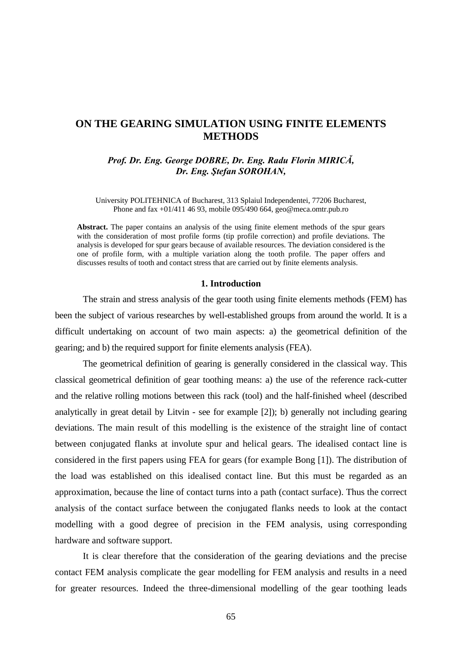## **ON THE GEARING SIMULATION USING FINITE ELEMENTS METHODS**

*Prof. Dr. Eng. George DOBRE, Dr. Eng. Radu Florin MIRICĂ, Dr. Eng. Ştefan SOROHAN,* 

University POLITEHNICA of Bucharest, 313 Splaiul Independentei, 77206 Bucharest, Phone and fax +01/411 46 93, mobile 095/490 664, geo@meca.omtr.pub.ro

**Abstract.** The paper contains an analysis of the using finite element methods of the spur gears with the consideration of most profile forms (tip profile correction) and profile deviations. The analysis is developed for spur gears because of available resources. The deviation considered is the one of profile form, with a multiple variation along the tooth profile. The paper offers and discusses results of tooth and contact stress that are carried out by finite elements analysis.

#### **1. Introduction**

The strain and stress analysis of the gear tooth using finite elements methods (FEM) has been the subject of various researches by well-established groups from around the world. It is a difficult undertaking on account of two main aspects: a) the geometrical definition of the gearing; and b) the required support for finite elements analysis (FEA).

The geometrical definition of gearing is generally considered in the classical way. This classical geometrical definition of gear toothing means: a) the use of the reference rack-cutter and the relative rolling motions between this rack (tool) and the half-finished wheel (described analytically in great detail by Litvin - see for example [2]); b) generally not including gearing deviations. The main result of this modelling is the existence of the straight line of contact between conjugated flanks at involute spur and helical gears. The idealised contact line is considered in the first papers using FEA for gears (for example Bong [1]). The distribution of the load was established on this idealised contact line. But this must be regarded as an approximation, because the line of contact turns into a path (contact surface). Thus the correct analysis of the contact surface between the conjugated flanks needs to look at the contact modelling with a good degree of precision in the FEM analysis, using corresponding hardware and software support.

It is clear therefore that the consideration of the gearing deviations and the precise contact FEM analysis complicate the gear modelling for FEM analysis and results in a need for greater resources. Indeed the three-dimensional modelling of the gear toothing leads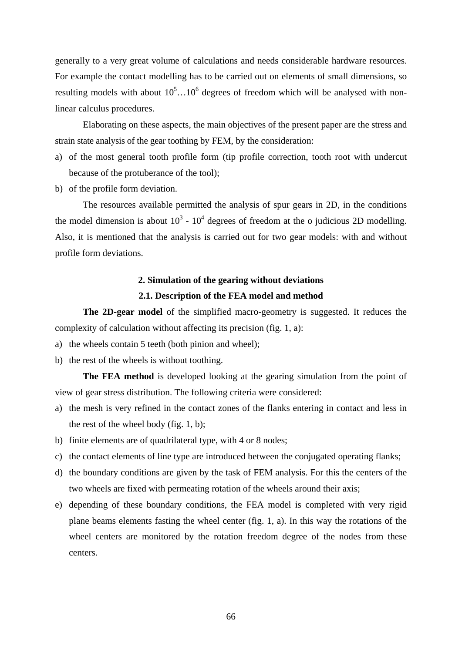generally to a very great volume of calculations and needs considerable hardware resources. For example the contact modelling has to be carried out on elements of small dimensions, so resulting models with about  $10^5$ ... $10^6$  degrees of freedom which will be analysed with nonlinear calculus procedures.

Elaborating on these aspects, the main objectives of the present paper are the stress and strain state analysis of the gear toothing by FEM, by the consideration:

- a) of the most general tooth profile form (tip profile correction, tooth root with undercut because of the protuberance of the tool);
- b) of the profile form deviation.

The resources available permitted the analysis of spur gears in 2D, in the conditions the model dimension is about  $10^3 \text{ - } 10^4$  degrees of freedom at the o judicious 2D modelling. Also, it is mentioned that the analysis is carried out for two gear models: with and without profile form deviations.

## **2. Simulation of the gearing without deviations**

### **2.1. Description of the FEA model and method**

**The 2D-gear model** of the simplified macro-geometry is suggested. It reduces the complexity of calculation without affecting its precision (fig. 1, a):

- a) the wheels contain 5 teeth (both pinion and wheel);
- b) the rest of the wheels is without toothing.

**The FEA method** is developed looking at the gearing simulation from the point of view of gear stress distribution. The following criteria were considered:

- a) the mesh is very refined in the contact zones of the flanks entering in contact and less in the rest of the wheel body (fig. 1, b);
- b) finite elements are of quadrilateral type, with 4 or 8 nodes;
- c) the contact elements of line type are introduced between the conjugated operating flanks;
- d) the boundary conditions are given by the task of FEM analysis. For this the centers of the two wheels are fixed with permeating rotation of the wheels around their axis;
- e) depending of these boundary conditions, the FEA model is completed with very rigid plane beams elements fasting the wheel center (fig. 1, a). In this way the rotations of the wheel centers are monitored by the rotation freedom degree of the nodes from these centers.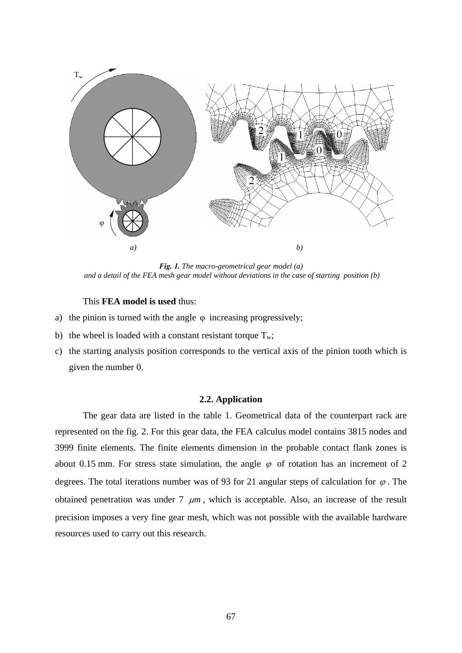

*Fig. 1. The macro-geometrical gear model (a) and a detail of the FEA mesh gear model without deviations in the case of starting position (b)* 

### This **FEA model is used** thus:

- a) the pinion is turned with the angle  $\varphi$  increasing progressively;
- b) the wheel is loaded with a constant resistant torque  $T_w$ ;
- c) the starting analysis position corresponds to the vertical axis of the pinion tooth which is given the number 0.

### **2.2. Application**

 The gear data are listed in the table 1. Geometrical data of the counterpart rack are represented on the fig. 2. For this gear data, the FEA calculus model contains 3815 nodes and 3999 finite elements. The finite elements dimension in the probable contact flank zones is about 0.15 mm. For stress state simulation, the angle  $\varphi$  of rotation has an increment of 2 degrees. The total iterations number was of 93 for 21 angular steps of calculation for  $\varphi$ . The obtained penetration was under  $7 \mu m$ , which is acceptable. Also, an increase of the result precision imposes a very fine gear mesh, which was not possible with the available hardware resources used to carry out this research.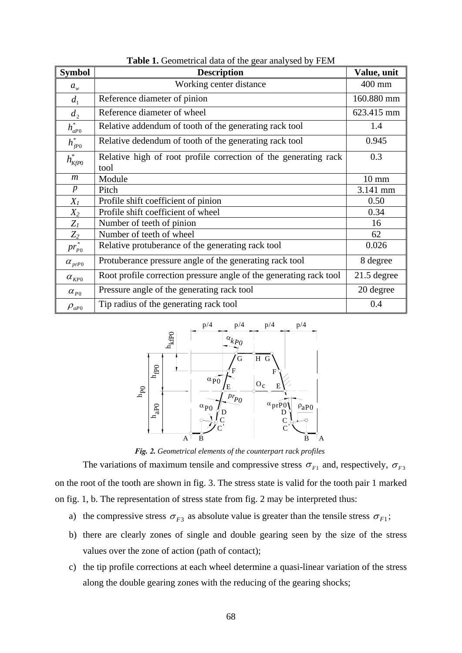| <b>Symbol</b>          | <b>Description</b>                                                      | Value, unit     |
|------------------------|-------------------------------------------------------------------------|-----------------|
| $a_w$                  | Working center distance                                                 | 400 mm          |
| d <sub>1</sub>         | Reference diameter of pinion                                            | 160.880 mm      |
| $d_2$                  | Reference diameter of wheel                                             | 623.415 mm      |
| $h_{aP0}^*$            | Relative addendum of tooth of the generating rack tool                  | 1.4             |
| $h^*_{f^{p_0}}$        | Relative dedendum of tooth of the generating rack tool                  | 0.945           |
| $h^*_{K\!f\!P0}$       | Relative high of root profile correction of the generating rack<br>tool | 0.3             |
| $\mathfrak{m}$         | Module                                                                  | $10 \text{ mm}$ |
| $\boldsymbol{p}$       | Pitch                                                                   | 3.141 mm        |
| $X_I$                  | Profile shift coefficient of pinion                                     | 0.50            |
| $X_2$                  | Profile shift coefficient of wheel                                      | 0.34            |
| $Z_I$                  | Number of teeth of pinion                                               | 16              |
| $Z_2$                  | Number of teeth of wheel                                                | 62              |
| $\overline{pr_{P0}^*}$ | Relative protuberance of the generating rack tool                       | 0.026           |
| $\alpha_{prP0}$        | Protuberance pressure angle of the generating rack tool                 | 8 degree        |
| $\alpha_{KPO}$         | Root profile correction pressure angle of the generating rack tool      | $21.5$ degree   |
| $\alpha_{P0}$          | Pressure angle of the generating rack tool                              | 20 degree       |
| $\rho_{aP0}$           | Tip radius of the generating rack tool                                  | 0.4             |

**Table 1.** Geometrical data of the gear analysed by FEM



*Fig. 2. Geometrical elements of the counterpart rack profiles* 

The variations of maximum tensile and compressive stress  $\sigma_{F1}$  and, respectively,  $\sigma_{F3}$ on the root of the tooth are shown in fig. 3. The stress state is valid for the tooth pair 1 marked on fig. 1, b. The representation of stress state from fig. 2 may be interpreted thus:

- a) the compressive stress  $\sigma_{F3}$  as absolute value is greater than the tensile stress  $\sigma_{F1}$ ;
- b) there are clearly zones of single and double gearing seen by the size of the stress values over the zone of action (path of contact);
- c) the tip profile corrections at each wheel determine a quasi-linear variation of the stress along the double gearing zones with the reducing of the gearing shocks;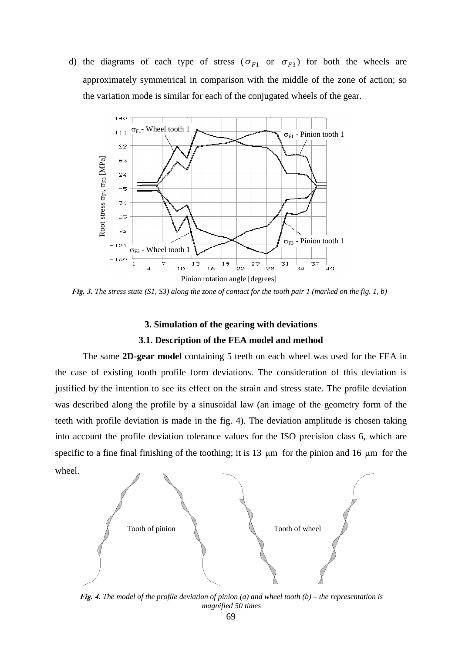d) the diagrams of each type of stress ( $\sigma_{F1}$  or  $\sigma_{F3}$ ) for both the wheels are approximately symmetrical in comparison with the middle of the zone of action; so the variation mode is similar for each of the conjugated wheels of the gear.



*Fig. 3. The stress state (S1, S3) along the zone of contact for the tooth pair 1 (marked on the fig. 1, b)* 

# **3. Simulation of the gearing with deviations 3.1. Description of the FEA model and method**

 The same **2D-gear model** containing 5 teeth on each wheel was used for the FEA in the case of existing tooth profile form deviations. The consideration of this deviation is justified by the intention to see its effect on the strain and stress state. The profile deviation was described along the profile by a sinusoidal law (an image of the geometry form of the teeth with profile deviation is made in the fig. 4). The deviation amplitude is chosen taking into account the profile deviation tolerance values for the ISO precision class 6, which are specific to a fine final finishing of the toothing; it is 13 μm for the pinion and 16 μm for the wheel.



*Fig. 4. The model of the profile deviation of pinion (a) and wheel tooth (b) – the representation is magnified 50 times*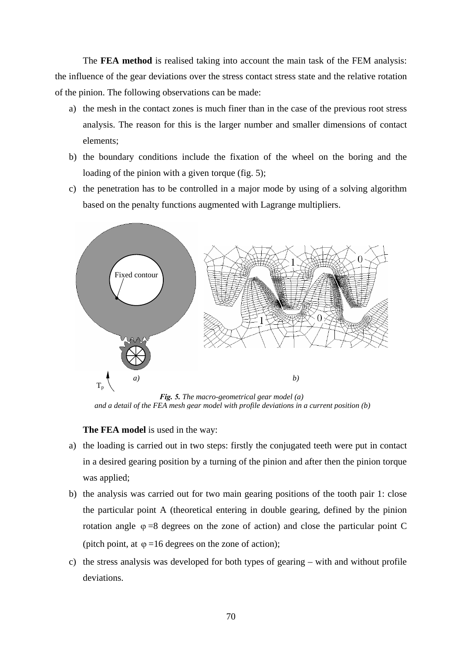The **FEA method** is realised taking into account the main task of the FEM analysis: the influence of the gear deviations over the stress contact stress state and the relative rotation of the pinion. The following observations can be made:

- a) the mesh in the contact zones is much finer than in the case of the previous root stress analysis. The reason for this is the larger number and smaller dimensions of contact elements;
- b) the boundary conditions include the fixation of the wheel on the boring and the loading of the pinion with a given torque (fig. 5);
- c) the penetration has to be controlled in a major mode by using of a solving algorithm based on the penalty functions augmented with Lagrange multipliers.



*Fig. 5. The macro-geometrical gear model (a) and a detail of the FEA mesh gear model with profile deviations in a current position (b)*

### **The FEA model** is used in the way:

- a) the loading is carried out in two steps: firstly the conjugated teeth were put in contact in a desired gearing position by a turning of the pinion and after then the pinion torque was applied;
- b) the analysis was carried out for two main gearing positions of the tooth pair 1: close the particular point A (theoretical entering in double gearing, defined by the pinion rotation angle  $\varphi = 8$  degrees on the zone of action) and close the particular point C (pitch point, at  $\varphi = 16$  degrees on the zone of action);
- c) the stress analysis was developed for both types of gearing with and without profile deviations.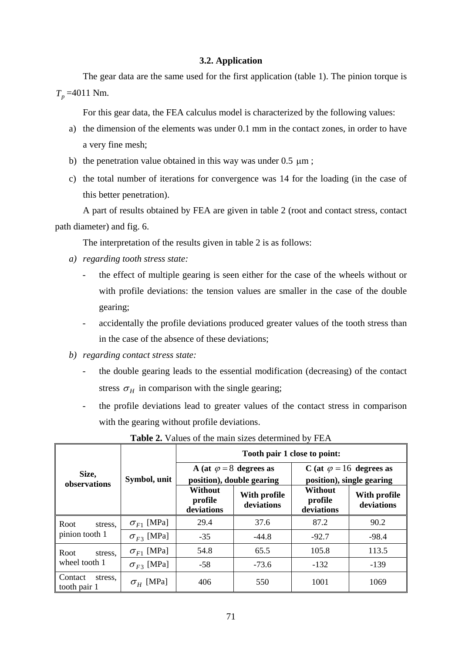### **3.2. Application**

 The gear data are the same used for the first application (table 1). The pinion torque is  $T_p = 4011$  Nm.

For this gear data, the FEA calculus model is characterized by the following values:

- a) the dimension of the elements was under 0.1 mm in the contact zones, in order to have a very fine mesh;
- b) the penetration value obtained in this way was under  $0.5 \mu m$ ;
- c) the total number of iterations for convergence was 14 for the loading (in the case of this better penetration).

A part of results obtained by FEA are given in table 2 (root and contact stress, contact path diameter) and fig. 6.

The interpretation of the results given in table 2 is as follows:

- *a) regarding tooth stress state:* 
	- the effect of multiple gearing is seen either for the case of the wheels without or with profile deviations: the tension values are smaller in the case of the double gearing;
	- accidentally the profile deviations produced greater values of the tooth stress than in the case of the absence of these deviations;
- *b) regarding contact stress state:* 
	- the double gearing leads to the essential modification (decreasing) of the contact stress  $\sigma_H$  in comparison with the single gearing;
	- the profile deviations lead to greater values of the contact stress in comparison with the gearing without profile deviations.

|                                    | Symbol, unit        | Tooth pair 1 close to point:                                |                            |                                                              |                            |
|------------------------------------|---------------------|-------------------------------------------------------------|----------------------------|--------------------------------------------------------------|----------------------------|
| Size,                              |                     | A (at $\varphi = 8$ degrees as<br>position), double gearing |                            | C (at $\varphi = 16$ degrees as<br>position), single gearing |                            |
| observations                       |                     | Without<br>profile<br>deviations                            | With profile<br>deviations | <b>Without</b><br>profile<br>deviations                      | With profile<br>deviations |
| Root<br>stress.                    | $\sigma_{F1}$ [MPa] | 29.4                                                        | 37.6                       | 87.2                                                         | 90.2                       |
| pinion tooth 1                     | $\sigma_{F3}$ [MPa] | $-35$                                                       | $-44.8$                    | $-92.7$                                                      | $-98.4$                    |
| Root<br>stress.                    | $\sigma_{F1}$ [MPa] | 54.8                                                        | 65.5                       | 105.8                                                        | 113.5                      |
| wheel tooth 1                      | $\sigma_{F3}$ [MPa] | $-58$                                                       | $-73.6$                    | $-132$                                                       | $-139$                     |
| Contact<br>stress,<br>tooth pair 1 | $\sigma_{H}$ [MPa]  | 406                                                         | 550                        | 1001                                                         | 1069                       |

**Table 2.** Values of the main sizes determined by FEA